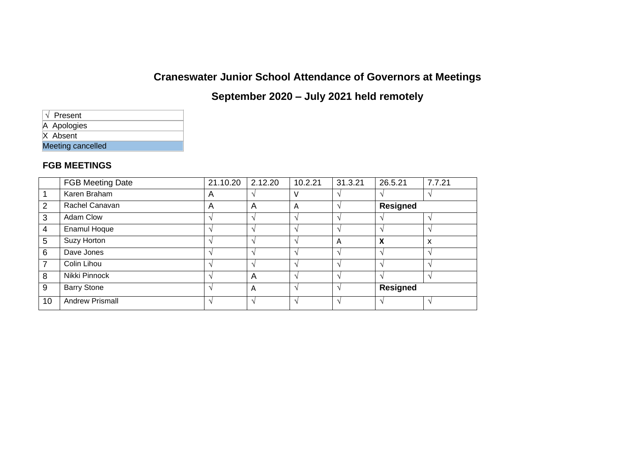# **Craneswater Junior School Attendance of Governors at Meetings**

## **September 2020 – July 2021 held remotely**

| $\sqrt{}$ Present |  |  |  |  |  |
|-------------------|--|--|--|--|--|
| A Apologies       |  |  |  |  |  |
| X Absent          |  |  |  |  |  |
| Meeting cancelled |  |  |  |  |  |

#### **FGB MEETINGS**

|                | <b>FGB Meeting Date</b> | 21.10.20 | 2.12.20                  | 10.2.21   | 31.3.21 | 26.5.21            | 7.7.21 |
|----------------|-------------------------|----------|--------------------------|-----------|---------|--------------------|--------|
|                | Karen Braham            | A        | $\lambda$                | v         |         |                    |        |
| 2              | Rachel Canavan          | A        | A                        | A         |         | <b>Resigned</b>    |        |
| 3              | Adam Clow               |          | $\overline{\phantom{a}}$ |           |         |                    |        |
| $\overline{4}$ | Enamul Hoque            |          | $\lambda$                |           |         | $\lambda$          |        |
| 5              | Suzy Horton             |          |                          |           | Α       | X                  | X      |
| 6              | Dave Jones              |          | $\rightarrow$            | $\Delta$  |         | $\Delta$           |        |
| 7              | Colin Lihou             |          | $\lambda$                | $\lambda$ |         | $\lambda$          |        |
| 8              | Nikki Pinnock           |          | $\overline{A}$           |           |         | $\mathbf{\Lambda}$ |        |
| 9              | <b>Barry Stone</b>      |          | A                        | $\Delta$  |         | <b>Resigned</b>    |        |
| 10             | <b>Andrew Prismall</b>  |          |                          |           |         |                    |        |